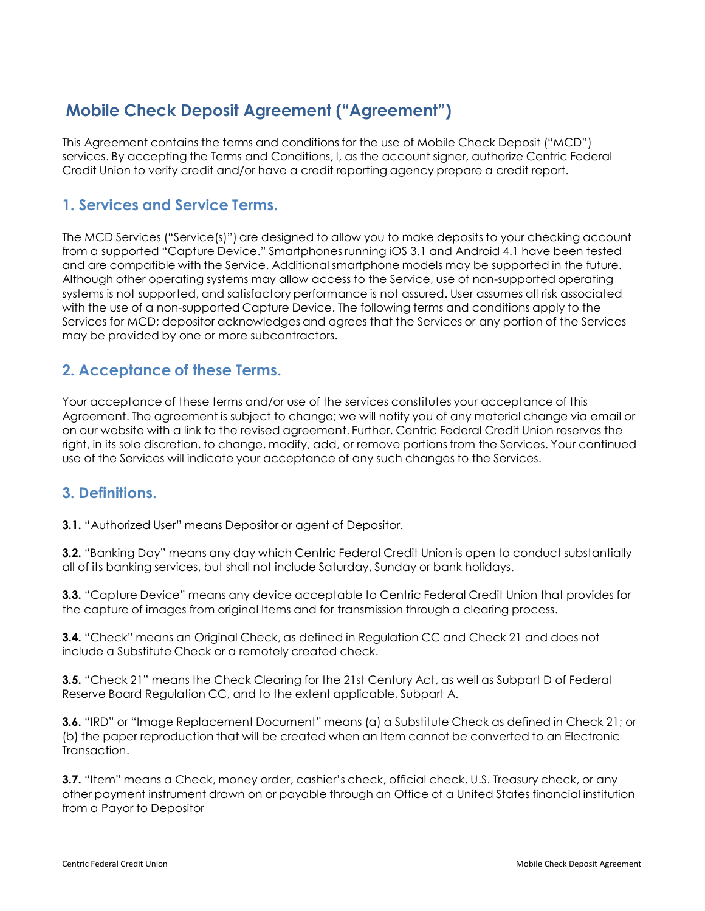# **Mobile Check Deposit Agreement ("Agreement")**

This Agreement contains the terms and conditions for the use of Mobile Check Deposit ("MCD") services. By accepting the Terms and Conditions, I, as the account signer, authorize Centric Federal Credit Union to verify credit and/or have a credit reporting agency prepare a credit report.

#### **1. Services and Service Terms.**

The MCD Services ("Service(s)") are designed to allow you to make deposits to your checking account from a supported "Capture Device." Smartphones running iOS 3.1 and Android 4.1 have been tested and are compatible with the Service. Additional smartphone models may be supported in the future. Although other operating systems may allow access to the Service, use of non-supported operating systems is not supported, and satisfactory performance is not assured. User assumes all risk associated with the use of a non-supported Capture Device. The following terms and conditions apply to the Services for MCD; depositor acknowledges and agrees that the Services or any portion of the Services may be provided by one or more subcontractors.

### **2. Acceptance of these Terms.**

Your acceptance of these terms and/or use of the services constitutes your acceptance of this Agreement. The agreement is subject to change; we will notify you of any material change via email or on our website with a link to the revised agreement. Further, Centric Federal Credit Union reserves the right, in its sole discretion, to change, modify, add, or remove portions from the Services. Your continued use of the Services will indicate your acceptance of any such changes to the Services.

#### **3. Definitions.**

**3.1.** "Authorized User" means Depositor or agent of Depositor.

**3.2.** "Banking Day" means any day which Centric Federal Credit Union is open to conduct substantially all of its banking services, but shall not include Saturday, Sunday or bank holidays.

**3.3.** "Capture Device" means any device acceptable to Centric Federal Credit Union that provides for the capture of images from original Items and for transmission through a clearing process.

**3.4.** "Check" means an Original Check, as defined in Regulation CC and Check 21 and does not include a Substitute Check or a remotely created check.

**3.5.** "Check 21" means the Check Clearing for the 21st Century Act, as well as Subpart D of Federal Reserve Board Regulation CC, and to the extent applicable, Subpart A.

**3.6.** "IRD" or "Image Replacement Document" means (a) a Substitute Check as defined in Check 21; or (b) the paper reproduction that will be created when an Item cannot be converted to an Electronic Transaction.

**3.7.** "Item" means a Check, money order, cashier's check, official check, U.S. Treasury check, or any other payment instrument drawn on or payable through an Office of a United States financial institution from a Payor to Depositor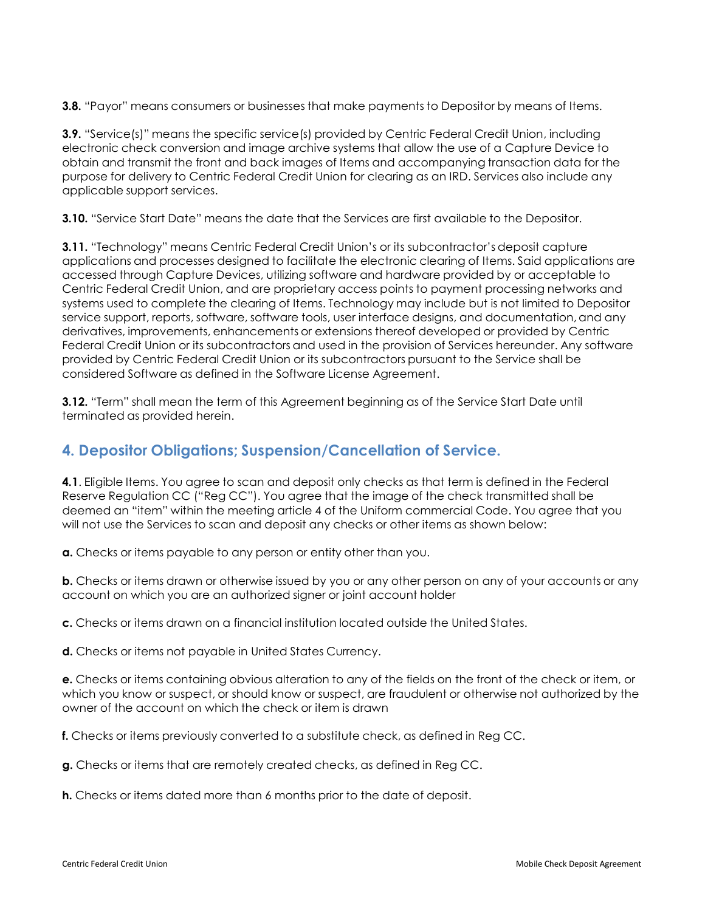**3.8.** "Payor" means consumers or businesses that make payments to Depositor by means of Items.

**3.9.** "Service(s)" means the specific service(s) provided by Centric Federal Credit Union, including electronic check conversion and image archive systems that allow the use of a Capture Device to obtain and transmit the front and back images of Items and accompanying transaction data for the purpose for delivery to Centric Federal Credit Union for clearing as an IRD. Services also include any applicable support services.

**3.10.** "Service Start Date" means the date that the Services are first available to the Depositor.

**3.11.** "Technology" means Centric Federal Credit Union's or its subcontractor's deposit capture applications and processes designed to facilitate the electronic clearing of Items. Said applications are accessed through Capture Devices, utilizing software and hardware provided by or acceptable to Centric Federal Credit Union, and are proprietary access points to payment processing networks and systems used to complete the clearing of Items. Technology may include but is not limited to Depositor service support, reports, software, software tools, user interface designs, and documentation, and any derivatives, improvements, enhancements or extensions thereof developed or provided by Centric Federal Credit Union or its subcontractors and used in the provision of Services hereunder. Any software provided by Centric Federal Credit Union or its subcontractors pursuant to the Service shall be considered Software as defined in the Software License Agreement.

**3.12.** "Term" shall mean the term of this Agreement beginning as of the Service Start Date until terminated as provided herein.

### **4. Depositor Obligations; Suspension/Cancellation of Service.**

**4.1**. Eligible Items. You agree to scan and deposit only checks as that term is defined in the Federal Reserve Regulation CC ("Reg CC"). You agree that the image of the check transmitted shall be deemed an "item" within the meeting article 4 of the Uniform commercial Code. You agree that you will not use the Services to scan and deposit any checks or other items as shown below:

**a.** Checks or items payable to any person or entity other than you.

**b.** Checks or items drawn or otherwise issued by you or any other person on any of your accounts or any account on which you are an authorized signer or joint account holder

**c.** Checks or items drawn on a financial institution located outside the United States.

**d.** Checks or items not payable in United States Currency.

**e.** Checks or items containing obvious alteration to any of the fields on the front of the check or item, or which you know or suspect, or should know or suspect, are fraudulent or otherwise not authorized by the owner of the account on which the check or item is drawn

**f.** Checks or items previously converted to a substitute check, as defined in Reg CC.

**g.** Checks or items that are remotely created checks, as defined in Reg CC.

**h.** Checks or items dated more than 6 months prior to the date of deposit.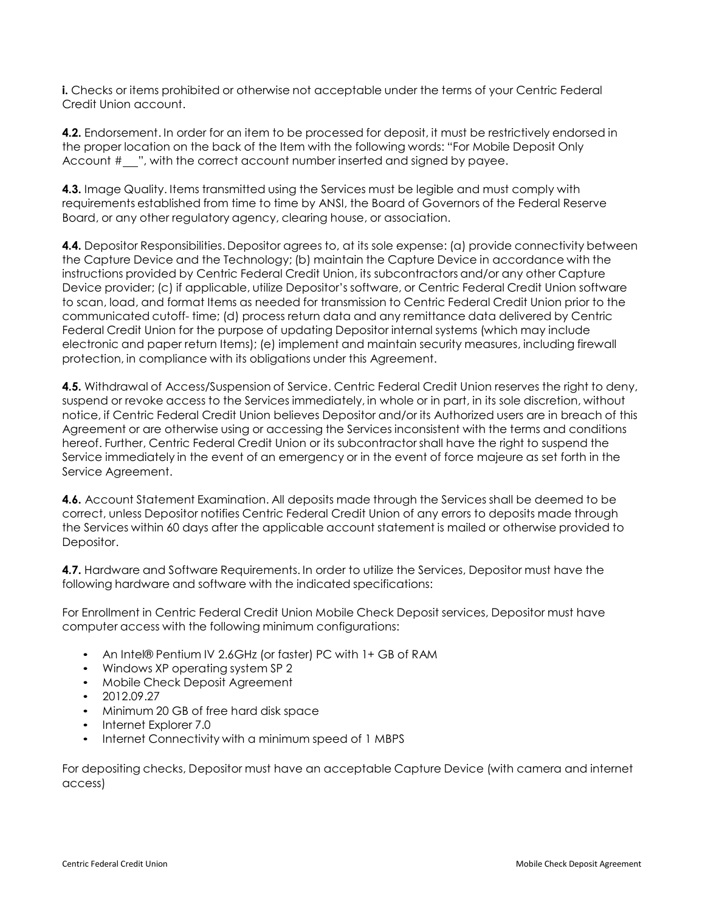**i.** Checks or items prohibited or otherwise not acceptable under the terms of your Centric Federal Credit Union account.

**4.2.** Endorsement. In order for an item to be processed for deposit, it must be restrictively endorsed in the proper location on the back of the Item with the following words: "For Mobile Deposit Only Account  $\#$   $\ldots$ , with the correct account number inserted and signed by payee.

**4.3.** Image Quality. Items transmitted using the Services must be legible and must comply with requirements established from time to time by ANSI, the Board of Governors of the Federal Reserve Board, or any other regulatory agency, clearing house, or association.

**4.4.** Depositor Responsibilities. Depositor agrees to, at its sole expense: (a) provide connectivity between the Capture Device and the Technology; (b) maintain the Capture Device in accordance with the instructions provided by Centric Federal Credit Union, its subcontractors and/or any other Capture Device provider; (c) if applicable, utilize Depositor's software, or Centric Federal Credit Union software to scan, load, and format Items as needed for transmission to Centric Federal Credit Union prior to the communicated cutoff- time; (d) process return data and any remittance data delivered by Centric Federal Credit Union for the purpose of updating Depositor internal systems (which may include electronic and paper return Items); (e) implement and maintain security measures, including firewall protection, in compliance with its obligations under this Agreement.

**4.5.** Withdrawal of Access/Suspension of Service. Centric Federal Credit Union reserves the right to deny, suspend or revoke access to the Services immediately, in whole or in part, in its sole discretion, without notice, if Centric Federal Credit Union believes Depositor and/or its Authorized users are in breach of this Agreement or are otherwise using or accessing the Services inconsistent with the terms and conditions hereof. Further, Centric Federal Credit Union or its subcontractor shall have the right to suspend the Service immediately in the event of an emergency or in the event of force majeure as set forth in the Service Agreement.

**4.6.** Account Statement Examination. All deposits made through the Services shall be deemed to be correct, unless Depositor notifies Centric Federal Credit Union of any errors to deposits made through the Services within 60 days after the applicable account statement is mailed or otherwise provided to Depositor.

**4.7.** Hardware and Software Requirements. In order to utilize the Services, Depositor must have the following hardware and software with the indicated specifications:

For Enrollment in Centric Federal Credit Union Mobile Check Deposit services, Depositor must have computer access with the following minimum configurations:

- An Intel® Pentium IV 2.6GHz (or faster) PC with 1+ GB of RAM
- Windows XP operating system SP 2
- Mobile Check Deposit Agreement
- 2012.09.27
- Minimum 20 GB of free hard disk space
- Internet Explorer 7.0
- Internet Connectivity with a minimum speed of 1 MBPS

For depositing checks, Depositor must have an acceptable Capture Device (with camera and internet access)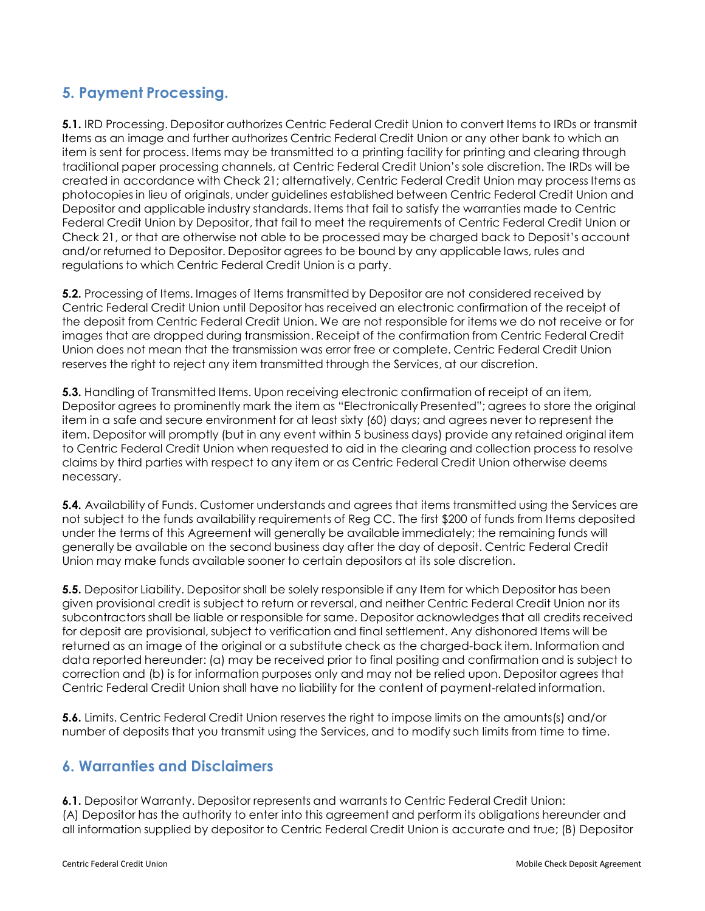### **5. Payment Processing.**

**5.1.** IRD Processing. Depositor authorizes Centric Federal Credit Union to convert Items to IRDs or transmit Items as an image and further authorizes Centric Federal Credit Union or any other bank to which an item is sent for process. Items may be transmitted to a printing facility for printing and clearing through traditional paper processing channels, at Centric Federal Credit Union's sole discretion. The IRDs will be created in accordance with Check 21; alternatively, Centric Federal Credit Union may process Items as photocopies in lieu of originals, under guidelines established between Centric Federal Credit Union and Depositor and applicable industry standards. Items that fail to satisfy the warranties made to Centric Federal Credit Union by Depositor, that fail to meet the requirements of Centric Federal Credit Union or Check 21, or that are otherwise not able to be processed may be charged back to Deposit's account and/or returned to Depositor. Depositor agrees to be bound by any applicable laws, rules and regulations to which Centric Federal Credit Union is a party.

**5.2.** Processing of Items. Images of Items transmitted by Depositor are not considered received by Centric Federal Credit Union until Depositor has received an electronic confirmation of the receipt of the deposit from Centric Federal Credit Union. We are not responsible for items we do not receive or for images that are dropped during transmission. Receipt of the confirmation from Centric Federal Credit Union does not mean that the transmission was error free or complete. Centric Federal Credit Union reserves the right to reject any item transmitted through the Services, at our discretion.

**5.3.** Handling of Transmitted Items. Upon receiving electronic confirmation of receipt of an item, Depositor agrees to prominently mark the item as "Electronically Presented"; agrees to store the original item in a safe and secure environment for at least sixty (60) days; and agrees never to represent the item. Depositor will promptly (but in any event within 5 business days) provide any retained original item to Centric Federal Credit Union when requested to aid in the clearing and collection process to resolve claims by third parties with respect to any item or as Centric Federal Credit Union otherwise deems necessary.

**5.4.** Availability of Funds. Customer understands and agrees that items transmitted using the Services are not subject to the funds availability requirements of Reg CC. The first \$200 of funds from Items deposited under the terms of this Agreement will generally be available immediately; the remaining funds will generally be available on the second business day after the day of deposit. Centric Federal Credit Union may make funds available sooner to certain depositors at its sole discretion.

**5.5.** Depositor Liability. Depositor shall be solely responsible if any Item for which Depositor has been given provisional credit is subject to return or reversal, and neither Centric Federal Credit Union nor its subcontractors shall be liable or responsible for same. Depositor acknowledges that all credits received for deposit are provisional, subject to verification and final settlement. Any dishonored Items will be returned as an image of the original or a substitute check as the charged-back item. Information and data reported hereunder: (a) may be received prior to final positing and confirmation and is subject to correction and (b) is for information purposes only and may not be relied upon. Depositor agrees that Centric Federal Credit Union shall have no liability for the content of payment-related information.

**5.6.** Limits. Centric Federal Credit Union reserves the right to impose limits on the amounts(s) and/or number of deposits that you transmit using the Services, and to modify such limits from time to time.

#### **6. Warranties and Disclaimers**

**6.1.** Depositor Warranty. Depositor represents and warrants to Centric Federal Credit Union: (A) Depositor has the authority to enter into this agreement and perform its obligations hereunder and all information supplied by depositor to Centric Federal Credit Union is accurate and true; (B) Depositor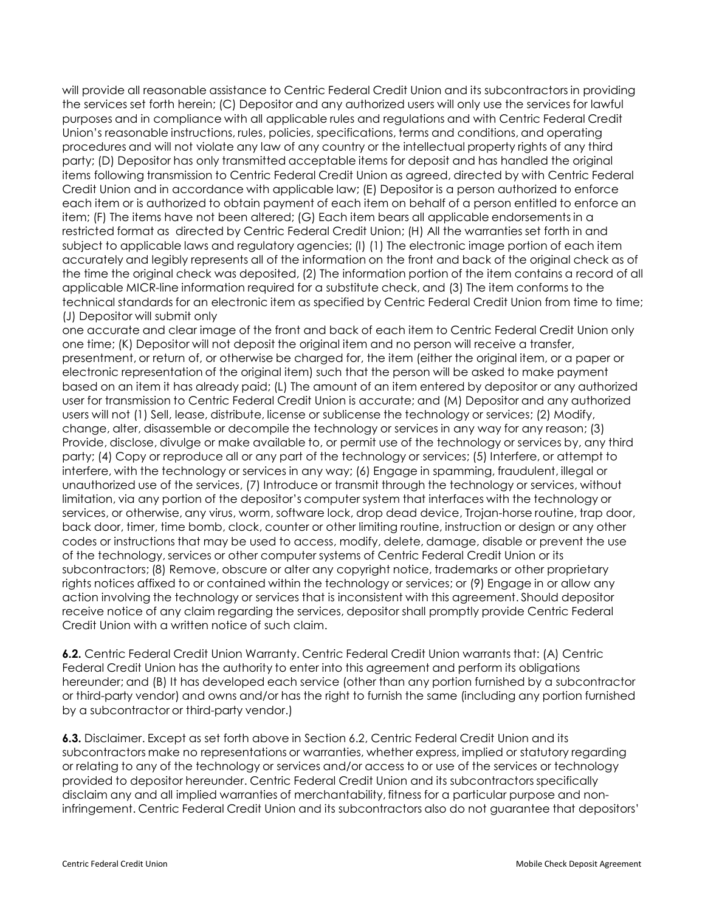will provide all reasonable assistance to Centric Federal Credit Union and its subcontractors in providing the services set forth herein; (C) Depositor and any authorized users will only use the services for lawful purposes and in compliance with all applicable rules and regulations and with Centric Federal Credit Union's reasonable instructions, rules, policies, specifications, terms and conditions, and operating procedures and will not violate any law of any country or the intellectual property rights of any third party; (D) Depositor has only transmitted acceptable items for deposit and has handled the original items following transmission to Centric Federal Credit Union as agreed, directed by with Centric Federal Credit Union and in accordance with applicable law; (E) Depositor is a person authorized to enforce each item or is authorized to obtain payment of each item on behalf of a person entitled to enforce an item; (F) The items have not been altered; (G) Each item bears all applicable endorsements in a restricted format as directed by Centric Federal Credit Union; (H) All the warranties set forth in and subject to applicable laws and regulatory agencies; (I) (1) The electronic image portion of each item accurately and legibly represents all of the information on the front and back of the original check as of the time the original check was deposited, (2) The information portion of the item contains a record of all applicable MICR-line information required for a substitute check, and (3) The item conforms to the technical standards for an electronic item as specified by Centric Federal Credit Union from time to time; (J) Depositor will submit only

one accurate and clear image of the front and back of each item to Centric Federal Credit Union only one time; (K) Depositor will not deposit the original item and no person will receive a transfer, presentment, or return of, or otherwise be charged for, the item (either the original item, or a paper or electronic representation of the original item) such that the person will be asked to make payment based on an item it has already paid; (L) The amount of an item entered by depositor or any authorized user for transmission to Centric Federal Credit Union is accurate; and (M) Depositor and any authorized users will not (1) Sell, lease, distribute, license or sublicense the technology or services; (2) Modify, change, alter, disassemble or decompile the technology or services in any way for any reason; (3) Provide, disclose, divulge or make available to, or permit use of the technology or services by, any third party; (4) Copy or reproduce all or any part of the technology or services; (5) Interfere, or attempt to interfere, with the technology or services in any way; (6) Engage in spamming, fraudulent, illegal or unauthorized use of the services, (7) Introduce or transmit through the technology or services, without limitation, via any portion of the depositor's computer system that interfaces with the technology or services, or otherwise, any virus, worm, software lock, drop dead device, Trojan-horse routine, trap door, back door, timer, time bomb, clock, counter or other limiting routine, instruction or design or any other codes or instructions that may be used to access, modify, delete, damage, disable or prevent the use of the technology, services or other computer systems of Centric Federal Credit Union or its subcontractors; (8) Remove, obscure or alter any copyright notice, trademarks or other proprietary rights notices affixed to or contained within the technology or services; or (9) Engage in or allow any action involving the technology or services that is inconsistent with this agreement. Should depositor receive notice of any claim regarding the services, depositor shall promptly provide Centric Federal Credit Union with a written notice of such claim.

**6.2.** Centric Federal Credit Union Warranty. Centric Federal Credit Union warrants that: (A) Centric Federal Credit Union has the authority to enter into this agreement and perform its obligations hereunder; and (B) It has developed each service (other than any portion furnished by a subcontractor or third-party vendor) and owns and/or has the right to furnish the same (including any portion furnished by a subcontractor or third-party vendor.)

**6.3.** Disclaimer. Except as set forth above in Section 6.2, Centric Federal Credit Union and its subcontractors make no representations or warranties, whether express, implied or statutory regarding or relating to any of the technology or services and/or access to or use of the services or technology provided to depositor hereunder. Centric Federal Credit Union and its subcontractors specifically disclaim any and all implied warranties of merchantability, fitness for a particular purpose and noninfringement. Centric Federal Credit Union and its subcontractors also do not guarantee that depositors'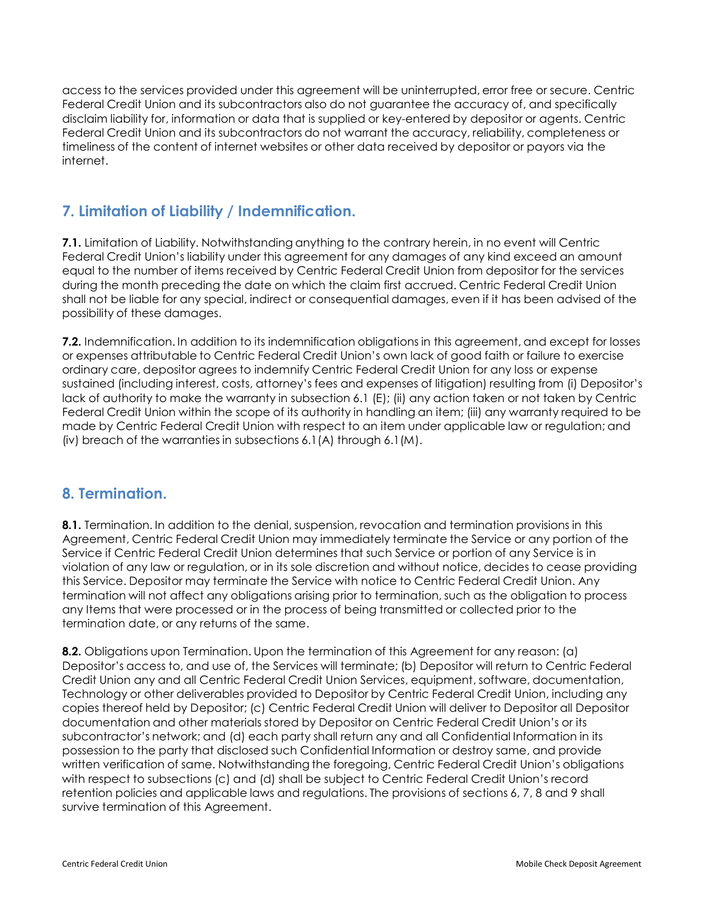access to the services provided under this agreement will be uninterrupted, error free or secure. Centric Federal Credit Union and its subcontractors also do not guarantee the accuracy of, and specifically disclaim liability for, information or data that is supplied or key-entered by depositor or agents. Centric Federal Credit Union and its subcontractors do not warrant the accuracy, reliability, completeness or timeliness of the content of internet websites or other data received by depositor or payors via the internet.

### **7. Limitation of Liability / Indemnification.**

**7.1.** Limitation of Liability. Notwithstanding anything to the contrary herein, in no event will Centric Federal Credit Union's liability under this agreement for any damages of any kind exceed an amount equal to the number of items received by Centric Federal Credit Union from depositor for the services during the month preceding the date on which the claim first accrued. Centric Federal Credit Union shall not be liable for any special, indirect or consequential damages, even if it has been advised of the possibility of these damages.

**7.2.** Indemnification. In addition to its indemnification obligations in this agreement, and except for losses or expenses attributable to Centric Federal Credit Union's own lack of good faith or failure to exercise ordinary care, depositor agrees to indemnify Centric Federal Credit Union for any loss or expense sustained (including interest, costs, attorney's fees and expenses of litigation) resulting from (i) Depositor's lack of authority to make the warranty in subsection 6.1 (E); (ii) any action taken or not taken by Centric Federal Credit Union within the scope of its authority in handling an item; (iii) any warranty required to be made by Centric Federal Credit Union with respect to an item under applicable law or regulation; and (iv) breach of the warranties in subsections 6.1(A) through 6.1(M).

#### **8. Termination.**

**8.1.** Termination. In addition to the denial, suspension, revocation and termination provisions in this Agreement, Centric Federal Credit Union may immediately terminate the Service or any portion of the Service if Centric Federal Credit Union determines that such Service or portion of any Service is in violation of any law or regulation, or in its sole discretion and without notice, decides to cease providing this Service. Depositor may terminate the Service with notice to Centric Federal Credit Union. Any termination will not affect any obligations arising prior to termination, such as the obligation to process any Items that were processed or in the process of being transmitted or collected prior to the termination date, or any returns of the same.

**8.2.** Obligations upon Termination. Upon the termination of this Agreement for any reason: (a) Depositor's access to, and use of, the Services will terminate; (b) Depositor will return to Centric Federal Credit Union any and all Centric Federal Credit Union Services, equipment, software, documentation, Technology or other deliverables provided to Depositor by Centric Federal Credit Union, including any copies thereof held by Depositor; (c) Centric Federal Credit Union will deliver to Depositor all Depositor documentation and other materials stored by Depositor on Centric Federal Credit Union's or its subcontractor's network; and (d) each party shall return any and all Confidential Information in its possession to the party that disclosed such Confidential Information or destroy same, and provide written verification of same. Notwithstanding the foregoing, Centric Federal Credit Union's obligations with respect to subsections (c) and (d) shall be subject to Centric Federal Credit Union's record retention policies and applicable laws and regulations. The provisions of sections 6, 7, 8 and 9 shall survive termination of this Agreement.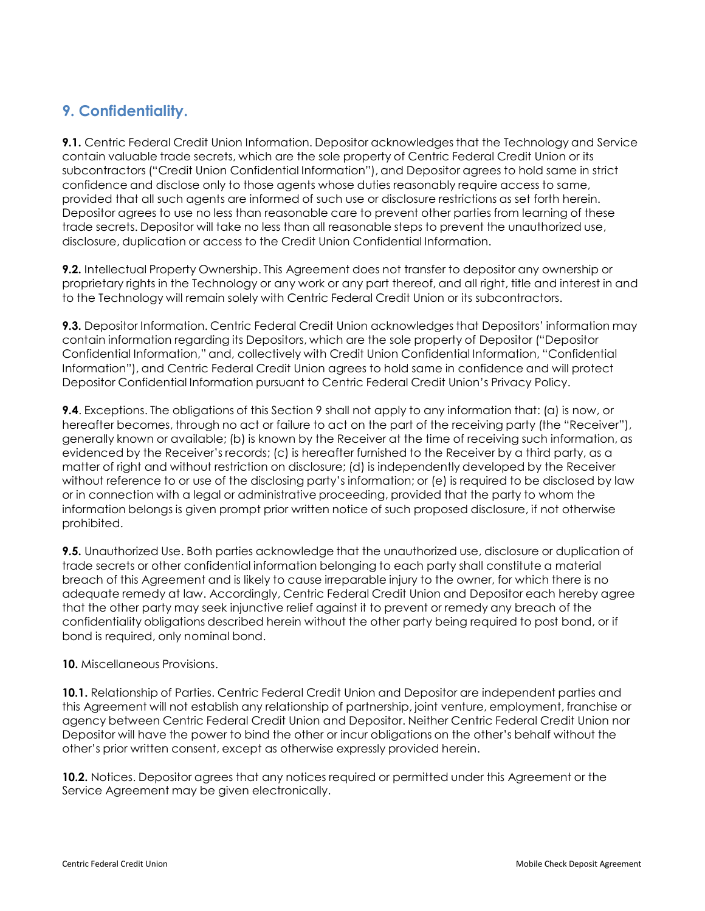## **9. Confidentiality.**

**9.1.** Centric Federal Credit Union Information. Depositor acknowledges that the Technology and Service contain valuable trade secrets, which are the sole property of Centric Federal Credit Union or its subcontractors ("Credit Union Confidential Information"), and Depositor agrees to hold same in strict confidence and disclose only to those agents whose duties reasonably require access to same, provided that all such agents are informed of such use or disclosure restrictions as set forth herein. Depositor agrees to use no less than reasonable care to prevent other parties from learning of these trade secrets. Depositor will take no less than all reasonable steps to prevent the unauthorized use, disclosure, duplication or access to the Credit Union Confidential Information.

**9.2.** Intellectual Property Ownership. This Agreement does not transfer to depositor any ownership or proprietary rights in the Technology or any work or any part thereof, and all right, title and interest in and to the Technology will remain solely with Centric Federal Credit Union or its subcontractors.

**9.3.** Depositor Information. Centric Federal Credit Union acknowledges that Depositors' information may contain information regarding its Depositors, which are the sole property of Depositor ("Depositor Confidential Information," and, collectively with Credit Union Confidential Information, "Confidential Information"), and Centric Federal Credit Union agrees to hold same in confidence and will protect Depositor Confidential Information pursuant to Centric Federal Credit Union's Privacy Policy.

**9.4**. Exceptions. The obligations of this Section 9 shall not apply to any information that: (a) is now, or hereafter becomes, through no act or failure to act on the part of the receiving party (the "Receiver"), generally known or available; (b) is known by the Receiver at the time of receiving such information, as evidenced by the Receiver's records; (c) is hereafter furnished to the Receiver by a third party, as a matter of right and without restriction on disclosure; (d) is independently developed by the Receiver without reference to or use of the disclosing party's information; or (e) is required to be disclosed by law or in connection with a legal or administrative proceeding, provided that the party to whom the information belongs is given prompt prior written notice of such proposed disclosure, if not otherwise prohibited.

**9.5.** Unauthorized Use. Both parties acknowledge that the unauthorized use, disclosure or duplication of trade secrets or other confidential information belonging to each party shall constitute a material breach of this Agreement and is likely to cause irreparable injury to the owner, for which there is no adequate remedy at law. Accordingly, Centric Federal Credit Union and Depositor each hereby agree that the other party may seek injunctive relief against it to prevent or remedy any breach of the confidentiality obligations described herein without the other party being required to post bond, or if bond is required, only nominal bond.

#### **10.** Miscellaneous Provisions.

**10.1.** Relationship of Parties. Centric Federal Credit Union and Depositor are independent parties and this Agreement will not establish any relationship of partnership, joint venture, employment, franchise or agency between Centric Federal Credit Union and Depositor. Neither Centric Federal Credit Union nor Depositor will have the power to bind the other or incur obligations on the other's behalf without the other's prior written consent, except as otherwise expressly provided herein.

**10.2.** Notices. Depositor agrees that any notices required or permitted under this Agreement or the Service Agreement may be given electronically.